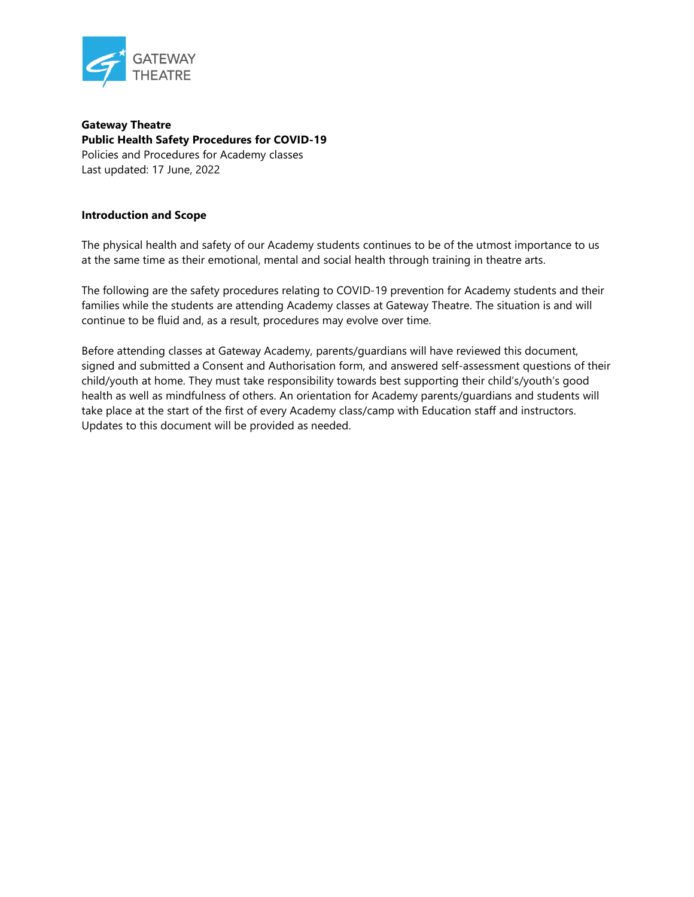

**Gateway Theatre Public Health Safety Procedures for COVID-19** Policies and Procedures for Academy classes Last updated: 17 June, 2022

## **Introduction and Scope**

The physical health and safety of our Academy students continues to be of the utmost importance to us at the same time as their emotional, mental and social health through training in theatre arts.

The following are the safety procedures relating to COVID-19 prevention for Academy students and their families while the students are attending Academy classes at Gateway Theatre. The situation is and will continue to be fluid and, as a result, procedures may evolve over time.

Before attending classes at Gateway Academy, parents/guardians will have reviewed this document, signed and submitted a Consent and Authorisation form, and answered self-assessment questions of their child/youth at home. They must take responsibility towards best supporting their child's/youth's good health as well as mindfulness of others. An orientation for Academy parents/guardians and students will take place at the start of the first of every Academy class/camp with Education staff and instructors. Updates to this document will be provided as needed.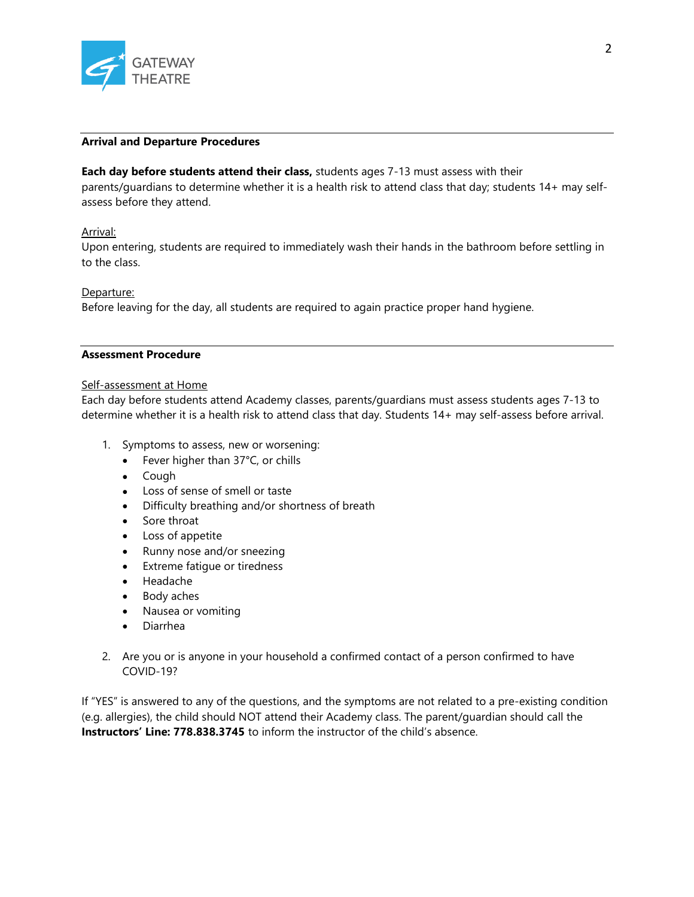

#### **Arrival and Departure Procedures**

## **Each day before students attend their class,** students ages 7-13 must assess with their parents/guardians to determine whether it is a health risk to attend class that day; students 14+ may selfassess before they attend.

## Arrival:

Upon entering, students are required to immediately wash their hands in the bathroom before settling in to the class.

## Departure:

Before leaving for the day, all students are required to again practice proper hand hygiene.

# **Assessment Procedure**

#### Self-assessment at Home

Each day before students attend Academy classes, parents/guardians must assess students ages 7-13 to determine whether it is a health risk to attend class that day. Students 14+ may self-assess before arrival.

- 1. Symptoms to assess, new or worsening:
	- Fever higher than 37°C, or chills
	- Cough
	- Loss of sense of smell or taste
	- Difficulty breathing and/or shortness of breath
	- Sore throat
	- Loss of appetite
	- Runny nose and/or sneezing
	- Extreme fatigue or tiredness
	- Headache
	- Body aches
	- Nausea or vomiting
	- Diarrhea
- 2. Are you or is anyone in your household a confirmed contact of a person confirmed to have COVID-19?

If "YES" is answered to any of the questions, and the symptoms are not related to a pre-existing condition (e.g. allergies), the child should NOT attend their Academy class. The parent/guardian should call the **Instructors' Line: 778.838.3745** to inform the instructor of the child's absence.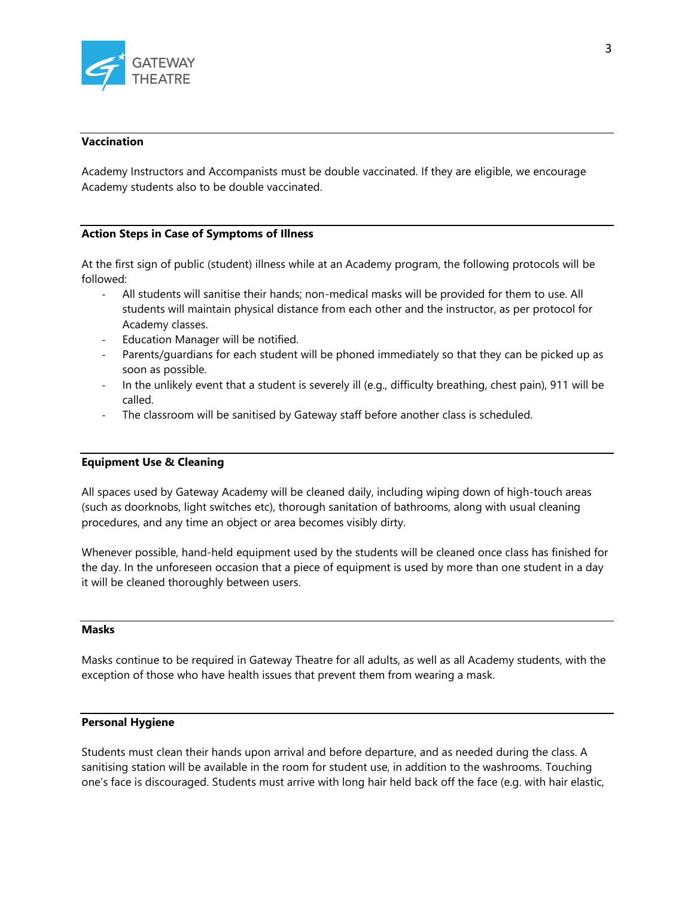

#### **Vaccination**

Academy Instructors and Accompanists must be double vaccinated. If they are eligible, we encourage Academy students also to be double vaccinated.

## **Action Steps in Case of Symptoms of Illness**

At the first sign of public (student) illness while at an Academy program, the following protocols will be followed:

- All students will sanitise their hands; non-medical masks will be provided for them to use. All students will maintain physical distance from each other and the instructor, as per protocol for Academy classes.
- Education Manager will be notified.
- Parents/guardians for each student will be phoned immediately so that they can be picked up as soon as possible.
- In the unlikely event that a student is severely ill (e.g., difficulty breathing, chest pain), 911 will be called.
- The classroom will be sanitised by Gateway staff before another class is scheduled.

#### **Equipment Use & Cleaning**

All spaces used by Gateway Academy will be cleaned daily, including wiping down of high-touch areas (such as doorknobs, light switches etc), thorough sanitation of bathrooms, along with usual cleaning procedures, and any time an object or area becomes visibly dirty.

Whenever possible, hand-held equipment used by the students will be cleaned once class has finished for the day. In the unforeseen occasion that a piece of equipment is used by more than one student in a day it will be cleaned thoroughly between users.

# **Masks**

Masks continue to be required in Gateway Theatre for all adults, as well as all Academy students, with the exception of those who have health issues that prevent them from wearing a mask.

## **Personal Hygiene**

Students must clean their hands upon arrival and before departure, and as needed during the class. A sanitising station will be available in the room for student use, in addition to the washrooms. Touching one's face is discouraged. Students must arrive with long hair held back off the face (e.g. with hair elastic,